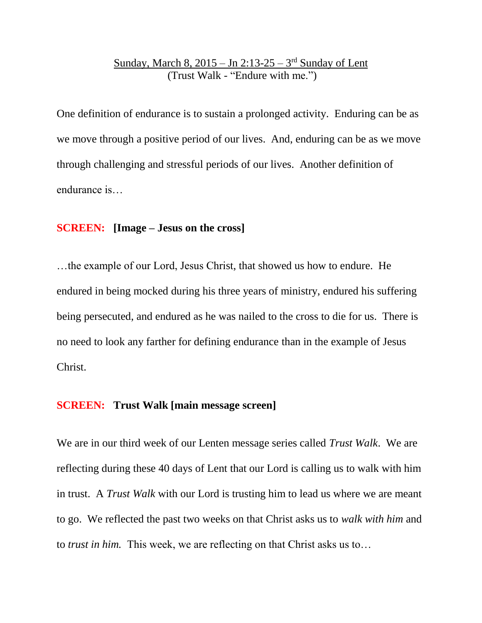# Sunday, March 8, 2015 – Jn 2:13-25 – 3<sup>rd</sup> Sunday of Lent (Trust Walk - "Endure with me.")

One definition of endurance is to sustain a prolonged activity. Enduring can be as we move through a positive period of our lives. And, enduring can be as we move through challenging and stressful periods of our lives. Another definition of endurance is…

# **SCREEN: [Image – Jesus on the cross]**

…the example of our Lord, Jesus Christ, that showed us how to endure. He endured in being mocked during his three years of ministry, endured his suffering being persecuted, and endured as he was nailed to the cross to die for us. There is no need to look any farther for defining endurance than in the example of Jesus Christ.

# **SCREEN: Trust Walk [main message screen]**

We are in our third week of our Lenten message series called *Trust Walk*. We are reflecting during these 40 days of Lent that our Lord is calling us to walk with him in trust. A *Trust Walk* with our Lord is trusting him to lead us where we are meant to go. We reflected the past two weeks on that Christ asks us to *walk with him* and to *trust in him.* This week, we are reflecting on that Christ asks us to…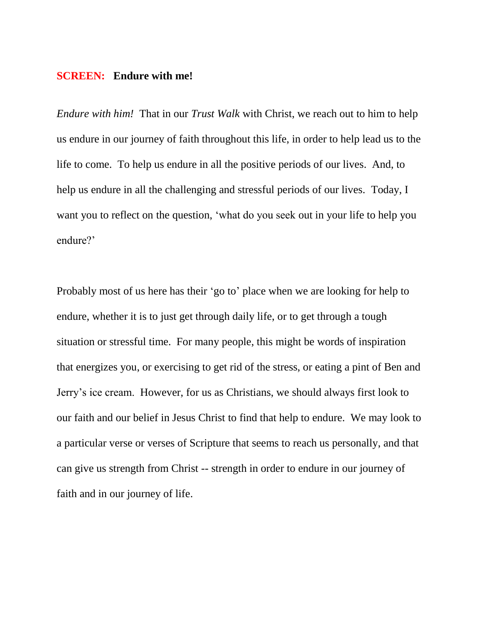#### **SCREEN: Endure with me!**

*Endure with him!* That in our *Trust Walk* with Christ, we reach out to him to help us endure in our journey of faith throughout this life, in order to help lead us to the life to come. To help us endure in all the positive periods of our lives. And, to help us endure in all the challenging and stressful periods of our lives. Today, I want you to reflect on the question, 'what do you seek out in your life to help you endure?'

Probably most of us here has their 'go to' place when we are looking for help to endure, whether it is to just get through daily life, or to get through a tough situation or stressful time. For many people, this might be words of inspiration that energizes you, or exercising to get rid of the stress, or eating a pint of Ben and Jerry's ice cream. However, for us as Christians, we should always first look to our faith and our belief in Jesus Christ to find that help to endure. We may look to a particular verse or verses of Scripture that seems to reach us personally, and that can give us strength from Christ -- strength in order to endure in our journey of faith and in our journey of life.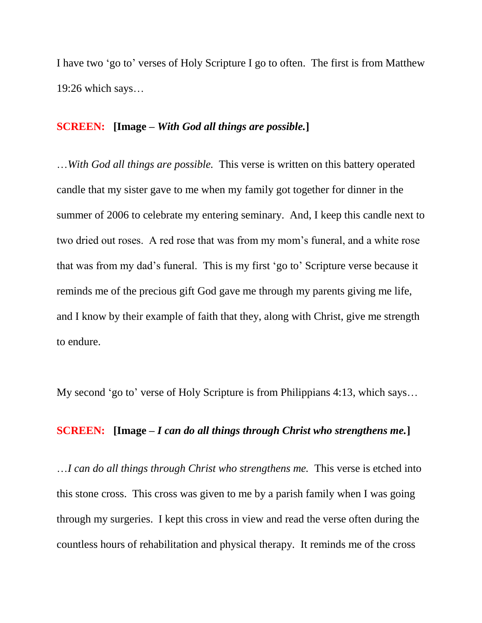I have two 'go to' verses of Holy Scripture I go to often. The first is from Matthew 19:26 which says…

# **SCREEN: [Image –** *With God all things are possible.***]**

…*With God all things are possible.* This verse is written on this battery operated candle that my sister gave to me when my family got together for dinner in the summer of 2006 to celebrate my entering seminary. And, I keep this candle next to two dried out roses. A red rose that was from my mom's funeral, and a white rose that was from my dad's funeral. This is my first 'go to' Scripture verse because it reminds me of the precious gift God gave me through my parents giving me life, and I know by their example of faith that they, along with Christ, give me strength to endure.

My second 'go to' verse of Holy Scripture is from Philippians 4:13, which says…

#### **SCREEN: [Image –** *I can do all things through Christ who strengthens me.***]**

…*I can do all things through Christ who strengthens me.* This verse is etched into this stone cross. This cross was given to me by a parish family when I was going through my surgeries. I kept this cross in view and read the verse often during the countless hours of rehabilitation and physical therapy. It reminds me of the cross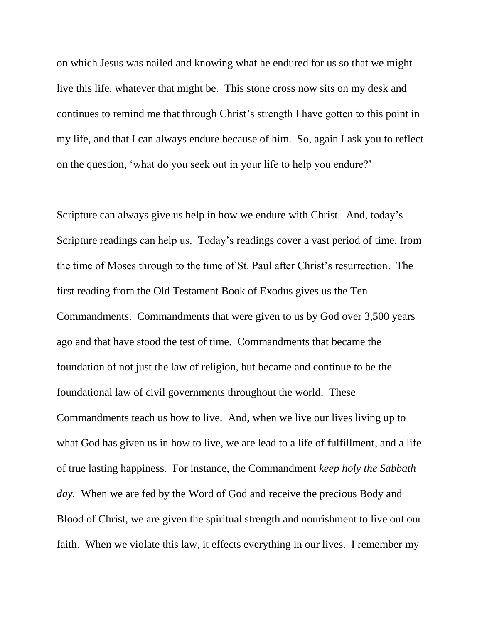on which Jesus was nailed and knowing what he endured for us so that we might live this life, whatever that might be. This stone cross now sits on my desk and continues to remind me that through Christ's strength I have gotten to this point in my life, and that I can always endure because of him. So, again I ask you to reflect on the question, 'what do you seek out in your life to help you endure?'

Scripture can always give us help in how we endure with Christ. And, today's Scripture readings can help us. Today's readings cover a vast period of time, from the time of Moses through to the time of St. Paul after Christ's resurrection. The first reading from the Old Testament Book of Exodus gives us the Ten Commandments. Commandments that were given to us by God over 3,500 years ago and that have stood the test of time. Commandments that became the foundation of not just the law of religion, but became and continue to be the foundational law of civil governments throughout the world. These Commandments teach us how to live. And, when we live our lives living up to what God has given us in how to live, we are lead to a life of fulfillment, and a life of true lasting happiness. For instance, the Commandment *keep holy the Sabbath day.* When we are fed by the Word of God and receive the precious Body and Blood of Christ, we are given the spiritual strength and nourishment to live out our faith. When we violate this law, it effects everything in our lives. I remember my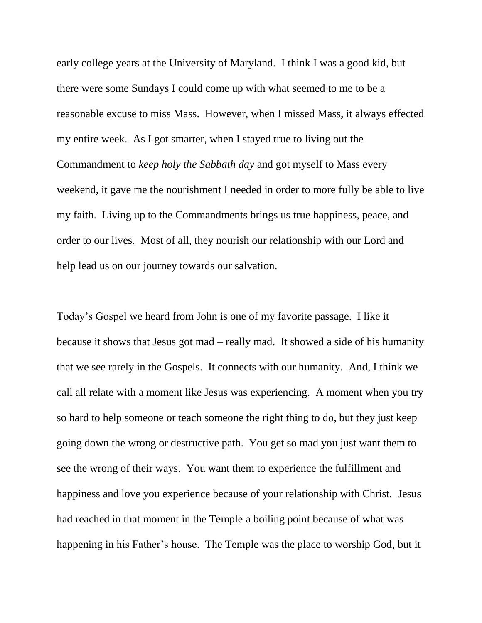early college years at the University of Maryland. I think I was a good kid, but there were some Sundays I could come up with what seemed to me to be a reasonable excuse to miss Mass. However, when I missed Mass, it always effected my entire week. As I got smarter, when I stayed true to living out the Commandment to *keep holy the Sabbath day* and got myself to Mass every weekend, it gave me the nourishment I needed in order to more fully be able to live my faith. Living up to the Commandments brings us true happiness, peace, and order to our lives. Most of all, they nourish our relationship with our Lord and help lead us on our journey towards our salvation.

Today's Gospel we heard from John is one of my favorite passage. I like it because it shows that Jesus got mad – really mad. It showed a side of his humanity that we see rarely in the Gospels. It connects with our humanity. And, I think we call all relate with a moment like Jesus was experiencing. A moment when you try so hard to help someone or teach someone the right thing to do, but they just keep going down the wrong or destructive path. You get so mad you just want them to see the wrong of their ways. You want them to experience the fulfillment and happiness and love you experience because of your relationship with Christ. Jesus had reached in that moment in the Temple a boiling point because of what was happening in his Father's house. The Temple was the place to worship God, but it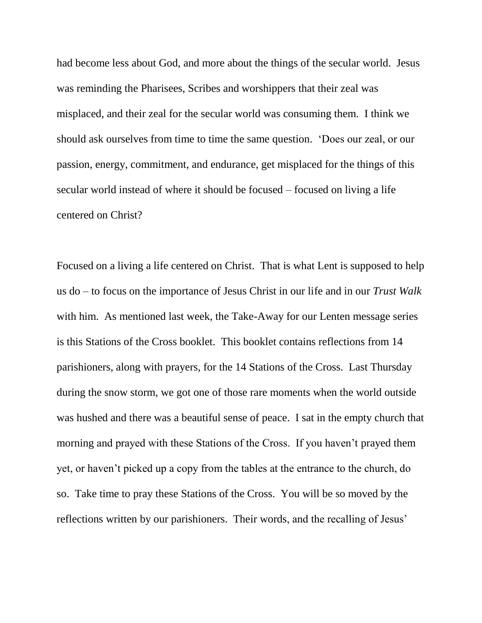had become less about God, and more about the things of the secular world. Jesus was reminding the Pharisees, Scribes and worshippers that their zeal was misplaced, and their zeal for the secular world was consuming them. I think we should ask ourselves from time to time the same question. 'Does our zeal, or our passion, energy, commitment, and endurance, get misplaced for the things of this secular world instead of where it should be focused – focused on living a life centered on Christ?

Focused on a living a life centered on Christ. That is what Lent is supposed to help us do – to focus on the importance of Jesus Christ in our life and in our *Trust Walk* with him. As mentioned last week, the Take-Away for our Lenten message series is this Stations of the Cross booklet. This booklet contains reflections from 14 parishioners, along with prayers, for the 14 Stations of the Cross. Last Thursday during the snow storm, we got one of those rare moments when the world outside was hushed and there was a beautiful sense of peace. I sat in the empty church that morning and prayed with these Stations of the Cross. If you haven't prayed them yet, or haven't picked up a copy from the tables at the entrance to the church, do so. Take time to pray these Stations of the Cross. You will be so moved by the reflections written by our parishioners. Their words, and the recalling of Jesus'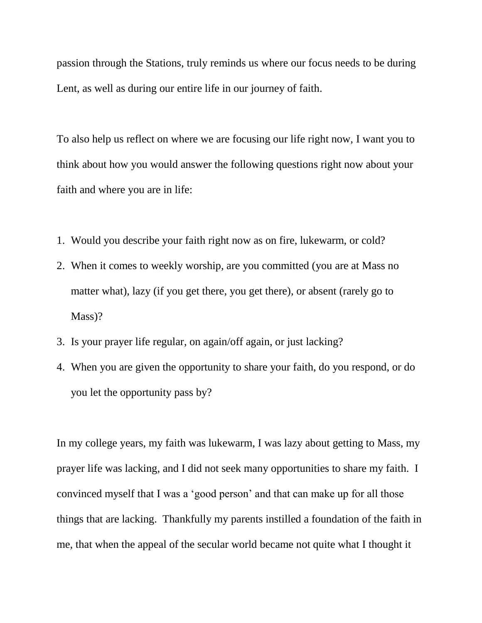passion through the Stations, truly reminds us where our focus needs to be during Lent, as well as during our entire life in our journey of faith.

To also help us reflect on where we are focusing our life right now, I want you to think about how you would answer the following questions right now about your faith and where you are in life:

- 1. Would you describe your faith right now as on fire, lukewarm, or cold?
- 2. When it comes to weekly worship, are you committed (you are at Mass no matter what), lazy (if you get there, you get there), or absent (rarely go to Mass)?
- 3. Is your prayer life regular, on again/off again, or just lacking?
- 4. When you are given the opportunity to share your faith, do you respond, or do you let the opportunity pass by?

In my college years, my faith was lukewarm, I was lazy about getting to Mass, my prayer life was lacking, and I did not seek many opportunities to share my faith. I convinced myself that I was a 'good person' and that can make up for all those things that are lacking. Thankfully my parents instilled a foundation of the faith in me, that when the appeal of the secular world became not quite what I thought it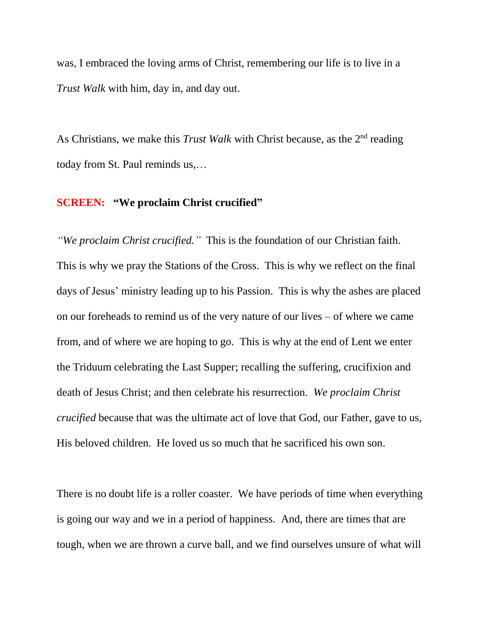was, I embraced the loving arms of Christ, remembering our life is to live in a *Trust Walk* with him, day in, and day out.

As Christians, we make this *Trust Walk* with Christ because, as the 2<sup>nd</sup> reading today from St. Paul reminds us,…

#### **SCREEN: "We proclaim Christ crucified"**

*"We proclaim Christ crucified."* This is the foundation of our Christian faith. This is why we pray the Stations of the Cross. This is why we reflect on the final days of Jesus' ministry leading up to his Passion. This is why the ashes are placed on our foreheads to remind us of the very nature of our lives – of where we came from, and of where we are hoping to go. This is why at the end of Lent we enter the Triduum celebrating the Last Supper; recalling the suffering, crucifixion and death of Jesus Christ; and then celebrate his resurrection. *We proclaim Christ crucified* because that was the ultimate act of love that God, our Father, gave to us, His beloved children. He loved us so much that he sacrificed his own son.

There is no doubt life is a roller coaster. We have periods of time when everything is going our way and we in a period of happiness. And, there are times that are tough, when we are thrown a curve ball, and we find ourselves unsure of what will